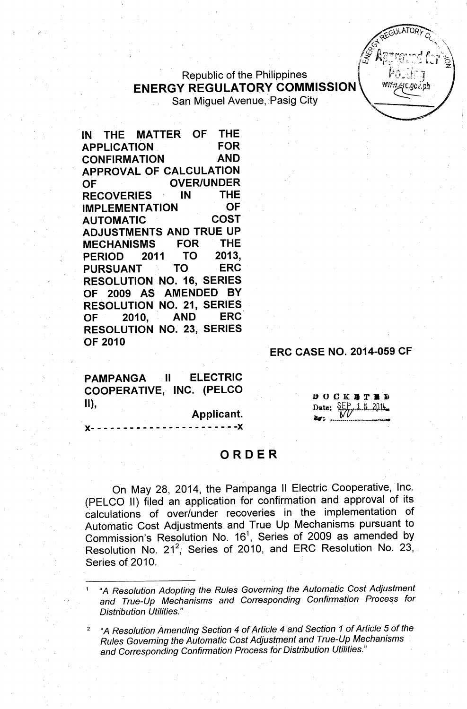## **Republic of the Philippines** ENERGY REGULATORY COMMISSION San Miguel Avenue, Pasig City

IN THE MATTER OF THE APPLICATION FOR CONFIRMATION AND APPROVAL OF CALCULATION OF OVER/UNDER RECOVERIES IN THE IMPLEMENTATION OF AUTOMATIC COST ADJUSTMENTS AND TRUE UP MECHANISMS FOR THE PERIOD 2011 TO 2013, PURSUANT TO ERC RESOLUTION NO. 16, SERIES OF 2009 AS AMENDED BY RESOLUTION NO. 21, SERIES OF 2010, AND ERC RESOLUTION NO. 23, SERIES OF 2010

#### ERC CASE NO. 2014-059 CF

**ELECTRIC PAMPANGA**  $\mathbf{I}$ COOPERATIVE, INC. (PELCO  $\mathbf{II}$ 

Applicant.

 $- - - - X$ 

DOCKHTED Date:  $\frac{SEP}{MV}$  1.5.2014. -- ".. l••••••••••••.• -",~•• \_.~~

**FGULATORY** 

rc.aov.nl

# ORDER

On May 28, 2014, the Pampanga II Electric Cooperative, 'Inc. (PELCO II) filed an application for confirmation and approval of its calculations of over/under recoveries in the implementation of Automatic Cost Adjustments and True Up Mechanisms pursuant to Commission's Resolution No.  $16<sup>1</sup>$ , Series of 2009 as amended by Resolution No. 21<sup>2</sup>, Series of 2010, and ERC Resolution No. 23, Series of 2010.

<sup>1</sup> "A *Resolution Adopting the Rules Governing the Automatic Cost Adjustment and True-Up Mechanisms and Corresponding Confirmation Proce~s for Distribution Utilities." .*

*<sup>2</sup> "A Resolution Amending Section* 4 *of Article,* 4 *and Section* 1 *of Article* 5 *of the Rules Governing the Automatic Cost Adjustment and True-Up Mechanisms and Corresponding Confirmation Process for Distribution Utilities."*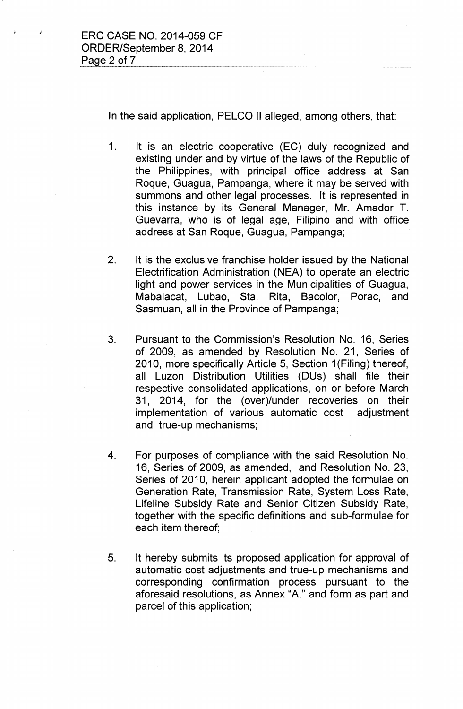In the said application, PELCO II alleged, among others, that:

- 1. It is an electric cooperative (EC) duly recognized and existing under and by virtue of the laws of the Republic of the Philippines, with principal office address at San Roque, Guagua, Pampanga, where it may be served with summons and other legal processes. It is represented in this instance by its General Manager, Mr. Amador T. Guevarra, who is of legal age, Filipino and with office address at San Roque, Guagua, Pampanga;
- 2. It is the exclusive franchise holder issued by the National Electrification Administration (NEA) to operate an electric light and power services in the Municipalities of Guagua, Mabalacat, Lubao, Sta. Rita, Bacolor, Porac, and Sasmuan, all in the Province of Pampanga;
- 3. Pursuant to the Commission's Resolution No. 16, Series of 2009, as amended by Resolution No. 21, Series of 2010, more specifically Article 5, Section 1(Filing) thereof, all Luzon Distribution Utilities (DUs) shall file their respective consolidated applications, on or before March 31, 2014, for the (over)/under recoveries on their implementation of various automatic cost adjustment and true-up mechanisms;
- 4. For purposes of compliance with the said Resolution No. 16, Series of 2009, as amended, and Resolution No. 23, Series of 2010, herein applicant adopted the formulae on Generation Rate, Transmission Rate, System Loss Rate, Lifeline Subsidy Rate and Senior Citizen Subsidy Rate, together with the specific definitions and sub-formulae for each item thereof;
- 5. It hereby submits its proposed application for approval of automatic cost adjustments and true-up mechanisms and corresponding confirmation process pursuant to the aforesaid resolutions, as Annex "A," and form as part and parcel of this application;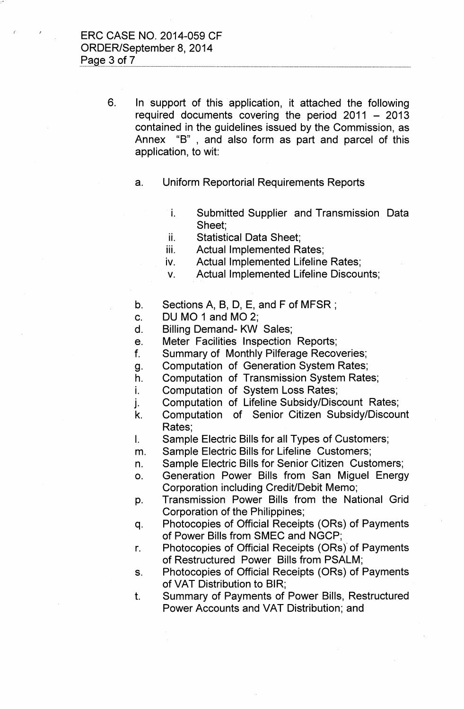6. In support of this application, it attached the following required documents covering the period  $2011 - 2013$ contained in the guidelines issued by the Commission, as Annex "B", and also form as part and parcel of this application, to wit:

- a. Uniform Reportorial Requirements Reports
	- i. Submitted Supplier and Transmission Data Sheet;
	- ii. Statistical Data Sheet;
	- iii. Actual Implemented Rates;
	- iv. Actual Implemented Lifeline Rates;
	- v. Actual Implemented Lifeline Discounts;
- b. Sections A, B, D, E, and F of MFSR ;
- c. DU MO 1 and MO 2;
- d. Billing Demand- KW Sales;
- e. Meter Facilities Inspection Reports;
- f. Summary of Monthly Pilferage Recoveries;
- g. Computation of Generation System Rates;
- h. Computation of Transmission System Rates;
- i. Computation of System Loss Rates;
- j. Computation of Lifeline Subsidy/Discount Rates;
- k. Computation of Senior Citizen Subsidy/Discount Rates;
- I. Sample Electric Bills for all Types of Customers;
- m. Sample Electric Bills for Lifeline Customers;
- n. Sample Electric Bills for Senior Citizen Customers;
- o. Generation Power Bills from San Miguel Energy Corporation including Credit/Debit Memo;
- p. Transmission Power Bills from the National Grid Corporation of the Philippines;
- q. Photocopies of Official Receipts (ORs) of Payments of Power Bills from SMEC and NGCP;
- r. Photocopies of Official Receipts (ORs) of Payments of Restructured Power Bills from PSALM;
- s. Photocopies of Official Receipts (ORs) of Payments of VAT Distribution to BIR;
- t. Summary of Payments of Power Bills, Restructured Power Accounts and VAT Distribution; and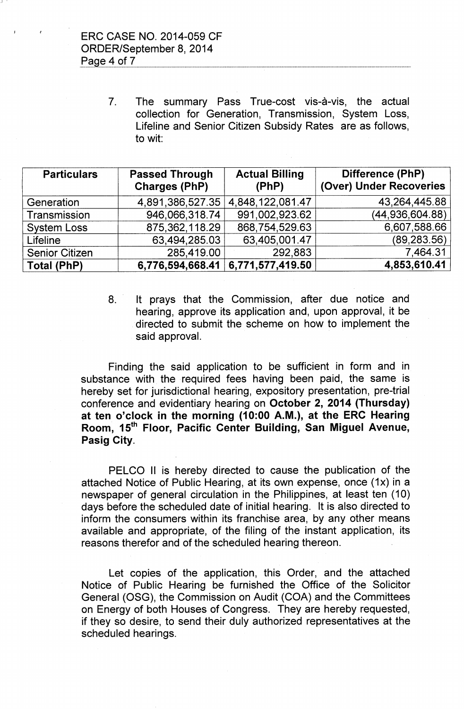J '

7. The summary Pass True-cost vis-à-vis, the actual collection for Generation, Transmission, System Loss, Lifeline and Senior Citizen Subsidy Rates are as follows, to wit:

| <b>Particulars</b>    | <b>Passed Through</b><br><b>Charges (PhP)</b> | <b>Actual Billing</b><br>(PhP) | Difference (PhP)<br>(Over) Under Recoveries |
|-----------------------|-----------------------------------------------|--------------------------------|---------------------------------------------|
| Generation            | 4,891,386,527.35                              | 4,848,122,081.47               | 43,264,445.88                               |
| Transmission          | 946,066,318.74                                | 991,002,923.62                 | (44,936,604.88)                             |
| <b>System Loss</b>    | 875, 362, 118.29                              | 868,754,529.63                 | 6,607,588.66                                |
| Lifeline              | 63,494,285.03                                 | 63,405,001.47                  | (89, 283.56)                                |
| <b>Senior Citizen</b> | 285,419.00                                    | 292,883                        | 7,464.31                                    |
| <b>Total (PhP)</b>    | 6,776,594,668.41                              | 6,771,577,419.50               | 4,853,610.41                                |

8. It prays that the Commission, after due notice and hearing, approve its application and, upon approval, it be directed to submit the scheme on how to implement the said approval.

Finding the said application to be sufficient in form and in substance with the required fees having been paid, the same is hereby set for jurisdictional hearing, expository presentation, pre-trial conference and evidentiary hearing on October 2, 2014 (Thursday) at ten o'clock in the morning (10:00 A.M.), at the ERC Hearing Room, 15<sup>th</sup> Floor, Pacific Center Building, San Miguel Avenue, Pasig City.

PELCO II is hereby directed to cause the publication of the attached Notice of Public Hearing, at its own expense, once (1x) in a newspaper of general circulation in the Philippines, at least ten (10) days before the scheduled date of initial hearing. It is also directed to inform the consumers within its franchise area, by any other means available and appropriate, of the filing of the instant application, its reasons therefor and of the scheduled hearing thereon.

Let copies of the application, this Order, and the attached Notice of Public Hearing be furnished the Office of the Solicitor General (OSG), the Commission on Audit (COA) and the Committees on Energy of both Houses of Congress. They are hereby requested, if they so desire, to send their duly authorized representatives at the scheduled hearings.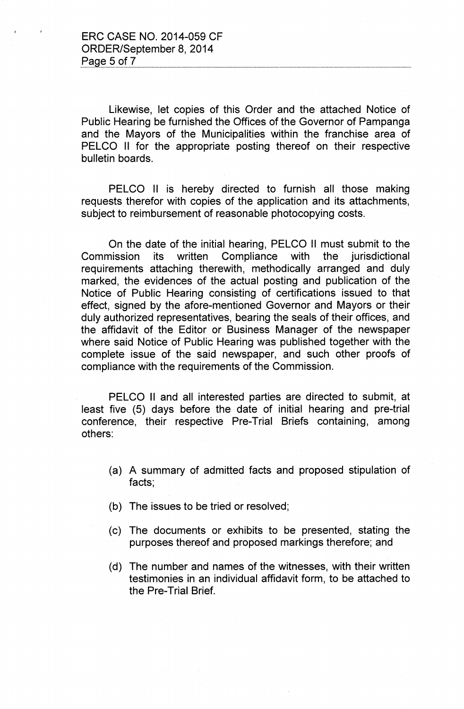Likewise, let copies of this Order and the attached Notice of Public Hearing be furnished the Offices of the Governor of Pampanga and the Mayors of the Municipalities within the franchise area of PELCO II for the appropriate posting thereof on their respective bulletin boards.

PELCO II is hereby directed to furnish all those making requests therefor with copies of the application and its attachments, subject to reimbursement of reasonable photocopying costs.

On the date of the initial hearing, PELCO II must submit to the Commission its written Compliance with the jurisdictional requirements attaching therewith, methodically arranged and duly marked, the evidences of the actual posting and publication of the Notice of Public Hearing consisting of certifications issued to that effect, signed by the afore-mentioned Governor and Mayors or their duly authorized representatives, bearing the seals of their offices, and the affidavit of the Editor or Business Manager of the newspaper where said Notice of Public Hearing was published together with the complete issue of the said newspaper, and such other proofs of compliance with the requirements of the Commission.

PELCO II and all interested parties are directed to submit, at least five (5) days before the date of initial hearing and pre-trial conference, their respective Pre-Trial Briefs containing, among others:

- (a) A summary of admitted facts and proposed stipulation of facts;
- (b) The issues to be tried or resolved;
- (c) The documents or exhibits to be presented, stating the purposes thereof and proposed markings therefore; and
- (d) The number and names of the witnesses, with their written testimonies in an individual affidavit form, to be attached to the Pre-Trial Brief.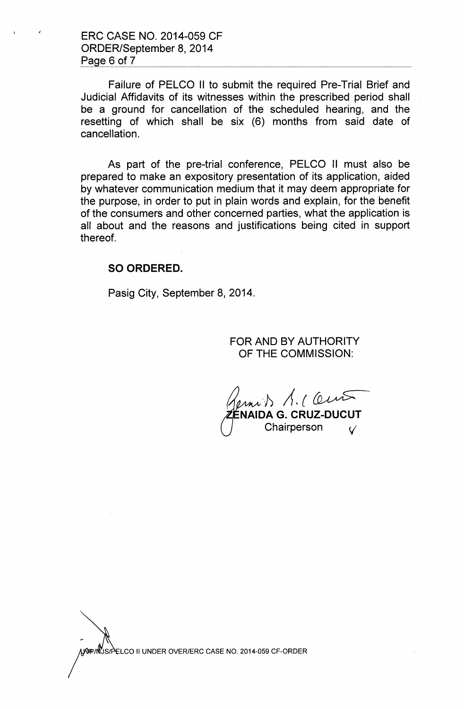ERC CASE NO. 2014-059 CF ORDER/September 8,2014 Page 6 of 7

Failure of PELCO II to submit the required Pre-Trial Brief and Judicial Affidavits of its witnesses within the prescribed period shall be a ground for cancellation of the scheduled hearing, and the resetting of which shall be six (6) months from said date of cancellation.

As part of the pre-trial conference, PELCO II must also be prepared to make an expository presentation of its application, aided by whatever communication medium that it may deem appropriate for the purpose, in order to put in plain words and explain, for the benefit of the consumers and other concerned parties, what the application is all about and the reasons and justifications being cited in support thereof.

#### SO ORDERED.

Pasig City, September 8, 2014.

### FOR AND BY AUTHORITY OF THE COMMISSION:

*of> A,{~* **IAIDA G. CRUZ-DUCUT** Chairperson  $\sqrt{ }$